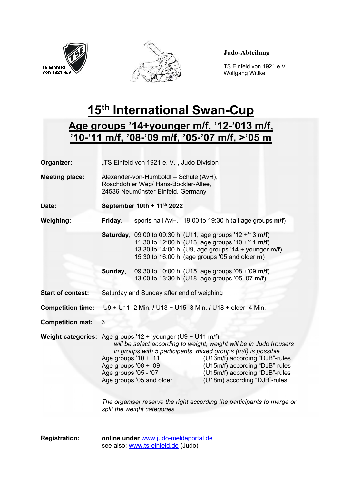



## Judo-Abteilung

TS Einfeld von 1921.e.V.<br>
von 1921 e.V.<br>
Wolfgang Wittke Wolfgang Wittke

## 15<sup>th</sup> International Swan-Cup

## Age groups '14+younger m/f, '12-'013 m/f, '10-'11 m/f, '08-'09 m/f, '05-'07 m/f, >'05 m

| Organizer:                | "TS Einfeld von 1921 e. V.", Judo Division                                                                          |                                                                                                                                                                                                                                                                                                                                                    |  |
|---------------------------|---------------------------------------------------------------------------------------------------------------------|----------------------------------------------------------------------------------------------------------------------------------------------------------------------------------------------------------------------------------------------------------------------------------------------------------------------------------------------------|--|
| <b>Meeting place:</b>     | Alexander-von-Humboldt - Schule (AvH),<br>Roschdohler Weg/ Hans-Böckler-Allee,<br>24536 Neumünster-Einfeld, Germany |                                                                                                                                                                                                                                                                                                                                                    |  |
| Date:                     | September 10th + 11th 2022                                                                                          |                                                                                                                                                                                                                                                                                                                                                    |  |
| <b>Weighing:</b>          | Friday,                                                                                                             | sports hall AvH, 19:00 to 19:30 h (all age groups m/f)                                                                                                                                                                                                                                                                                             |  |
|                           |                                                                                                                     | Saturday, 09:00 to 09:30 h (U11, age groups '12 +'13 m/f)<br>11:30 to 12:00 h (U13, age groups '10 +'11 m/f)<br>13:30 to 14:00 h (U9, age groups '14 + younger m/f)<br>15:30 to 16:00 h (age groups '05 and older m)                                                                                                                               |  |
|                           | Sunday,                                                                                                             | 09:30 to 10:00 h (U15, age groups '08 +'09 m/f)<br>13:00 to 13:30 h (U18, age groups '05-'07 m/f)                                                                                                                                                                                                                                                  |  |
| <b>Start of contest:</b>  | Saturday and Sunday after end of weighing                                                                           |                                                                                                                                                                                                                                                                                                                                                    |  |
| <b>Competition time:</b>  |                                                                                                                     | U9 + U11 2 Min. / U13 + U15 3 Min. / U18 + older 4 Min.                                                                                                                                                                                                                                                                                            |  |
| <b>Competition mat:</b>   | 3                                                                                                                   |                                                                                                                                                                                                                                                                                                                                                    |  |
| <b>Weight categories:</b> | Age groups $'10 + '11$<br>Age groups '08 + '09<br>Age groups '05 - '07                                              | Age groups '12 + 'younger (U9 + U11 m/f)<br>will be select according to weight, weight will be in Judo trousers<br>in groups with 5 participants, mixed groups (m/f) is possible<br>(U13m/f) according "DJB"-rules<br>(U15m/f) according "DJB"-rules<br>(U15m/f) according "DJB"-rules<br>Age groups '05 and older<br>(U18m) according "DJB"-rules |  |
|                           | The organiser reserve the right according the participants to merge or<br>split the weight categories.              |                                                                                                                                                                                                                                                                                                                                                    |  |
| <b>Registration:</b>      |                                                                                                                     | online under www.judo-meldeportal.de<br>see also: www.ts-einfeld.de (Judo)                                                                                                                                                                                                                                                                         |  |